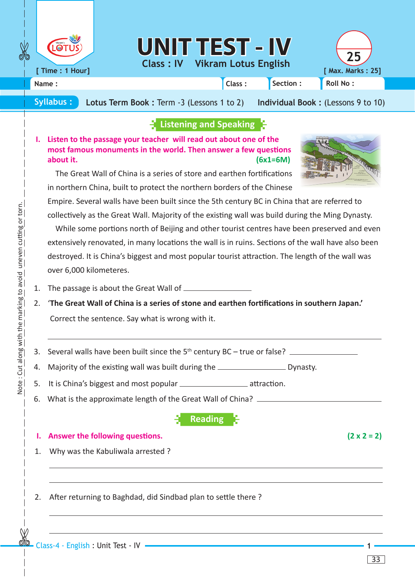

**[ Time : 1 Hour]**

## **UNIT TEST - IV <sup>25</sup>**

**Class : IV Vikram Lotus English [ Max. Marks : 25]**



**Name : Class : Section : Roll No :**

**Syllabus : Lotus Term Book :** Term -3 (Lessons 1 to 2) **Individual Book :** (Lessons 9 to 10)

## **Listening and Speaking**

**I. Listen to the passage your teacher will read out about one of the most famous monuments in the world. Then answer a few questions about it. (6x1=6M)**



 The Great Wall of China is a series of store and earthen fortifications in northern China, built to protect the northern borders of the Chinese

Empire. Several walls have been built since the 5th century BC in China that are referred to collectively as the Great Wall. Majority of the existing wall was build during the Ming Dynasty.

 While some portions north of Beijing and other tourist centres have been preserved and even extensively renovated, in many locations the wall is in ruins. Sections of the wall have also been destroyed. It is China's biggest and most popular tourist attraction. The length of the wall was over 6,000 kilometeres.

1. The passage is about the Great Wall of

- 2. '**The Great Wall of China is a series of stone and earthen fortifications in southern Japan.'** Correct the sentence. Say what is wrong with it.
- 3. Several walls have been built since the  $5<sup>th</sup>$  century BC true or false?

4. Majority of the existing wall was built during the **Common Service 20** Dynasty.

- 5. It is China's biggest and most popular **construents attraction**.
- 6. What is the approximate length of the Great Wall of China?

**Reading**

## **1.** Answer the following questions.  $(2 \times 2 = 2)$

- 1. Why was the Kabuliwala arrested ?
- 2. After returning to Baghdad, did Sindbad plan to settle there ?

33